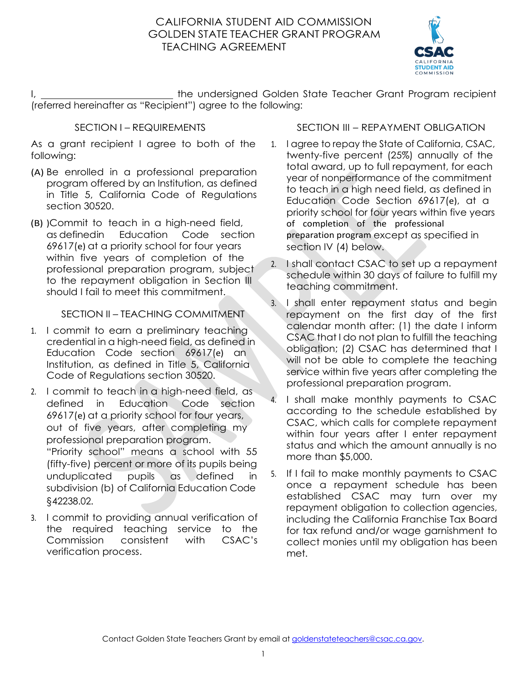## GOLDEN STATE TEACHER GRANT PROGRAM CALIFORNIA STUDENT AID COMMISSION TEACHING AGREEMENT



I, 1. All the undersigned Golden State Teacher Grant Program recipient (referred hereinafter as "Recipient") agree to the following:

### SECTION I – REQUIREMENTS

 As a grant recipient I agree to both of the following:

- program offered by an Institution, as defined in Title 5, California Code of Regulations (A) Be enrolled in a professional preparation section 30520.
- (B) )Commit to teach in a high-need field, as definedin Education Code section within five years of completion of the professional preparation program, subject to the repayment obligation in Section III 69617(e) at a priority school for four years should I fail to meet this commitment.

## SECTION II – TEACHING COMMITMENT

- 1. I commit to earn a preliminary teaching credential in a high-need field, as defined in Education Code section 69617(e) an Institution, as defined in Title 5, California Code of Regulations section 30520.
- 2. I commit to teach in a high-need field, as defined in out of five years, after completing my "Priority school" means a school with 55 (fifty-five) percent or more of its pupils being subdivision (b) of California Education Code Education Code section 69617(e) at a priority school for four years, professional preparation program. unduplicated pupils as defined in §[42238.02.](https://42238.02)
- 3. I commit to providing annual verification of the required teaching service to the Commission consistent with CSAC's verification process.

### SECTION III – REPAYMENT OBLIGATION

- 1. I agree to repay the State of California, CSAC, twenty-five percent (25%) annually of the Education Code Section 69617(e), at a priority school for four years within five years of completion of the professional total award, up to full repayment, for each year of nonperformance of the commitment to teach in a high need field, as defined in preparation program except as specified in section IV (4) below.
- 2. I shall contact CSAC to set up a repayment schedule within 30 days of failure to fulfill my teaching commitment.
- 3. I shall enter repayment status and begin CSAC that I do not plan to fulfill the teaching service within five years after completing the repayment on the first day of the first calendar month after: (1) the date I inform obligation; (2) CSAC has determined that I will not be able to complete the teaching professional preparation program.
- according to the schedule established by status and which the amount annually is no 4. I shall make monthly payments to CSAC CSAC, which calls for complete repayment within four years after I enter repayment more than \$5,000.
- 5. If I fail to make monthly payments to CSAC once a repayment schedule has been repayment obligation to collection agencies, including the California Franchise Tax Board collect monies until my obligation has been established CSAC may turn over my for tax refund and/or wage garnishment to met.